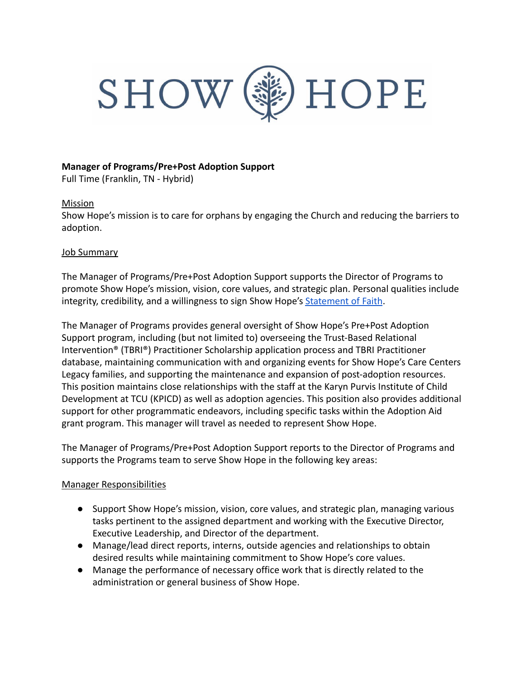# SHOW (變) HOPE

## **Manager of Programs/Pre+Post Adoption Support**

Full Time (Franklin, TN - Hybrid)

### Mission

Show Hope's mission is to care for orphans by engaging the Church and reducing the barriers to adoption.

### Job Summary

The Manager of Programs/Pre+Post Adoption Support supports the Director of Programs to promote Show Hope's mission, vision, core values, and strategic plan. Personal qualities include integrity, credibility, and a willingness to sign Show Hope's [Statement of Faith](https://showhope.org/show-hopes-statement-faith/).

The Manager of Programs provides general oversight of Show Hope's Pre+Post Adoption Support program, including (but not limited to) overseeing the Trust-Based Relational Intervention® (TBRI®) Practitioner Scholarship application process and TBRI Practitioner database, maintaining communication with and organizing events for Show Hope's Care Centers Legacy families, and supporting the maintenance and expansion of post-adoption resources. This position maintains close relationships with the staff at the Karyn Purvis Institute of Child Development at TCU (KPICD) as well as adoption agencies. This position also provides additional support for other programmatic endeavors, including specific tasks within the Adoption Aid grant program. This manager will travel as needed to represent Show Hope.

The Manager of Programs/Pre+Post Adoption Support reports to the Director of Programs and supports the Programs team to serve Show Hope in the following key areas:

### Manager Responsibilities

- Support Show Hope's mission, vision, core values, and strategic plan, managing various tasks pertinent to the assigned department and working with the Executive Director, Executive Leadership, and Director of the department.
- Manage/lead direct reports, interns, outside agencies and relationships to obtain desired results while maintaining commitment to Show Hope's core values.
- Manage the performance of necessary office work that is directly related to the administration or general business of Show Hope.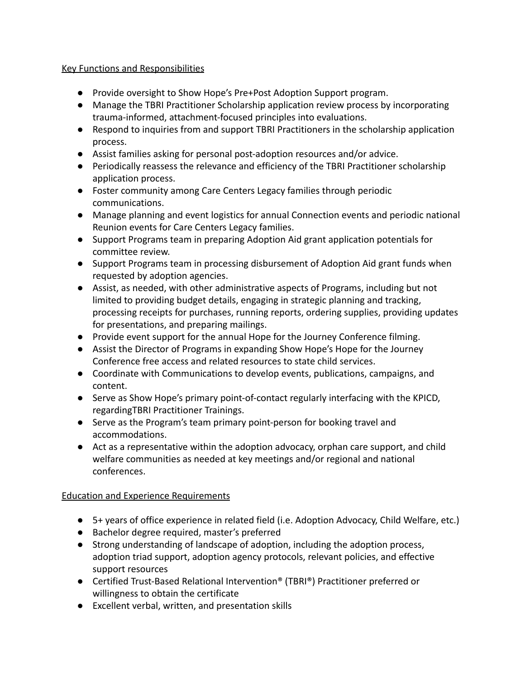# Key Functions and Responsibilities

- Provide oversight to Show Hope's Pre+Post Adoption Support program.
- Manage the TBRI Practitioner Scholarship application review process by incorporating trauma-informed, attachment-focused principles into evaluations.
- Respond to inquiries from and support TBRI Practitioners in the scholarship application process.
- Assist families asking for personal post-adoption resources and/or advice.
- Periodically reassess the relevance and efficiency of the TBRI Practitioner scholarship application process.
- Foster community among Care Centers Legacy families through periodic communications.
- Manage planning and event logistics for annual Connection events and periodic national Reunion events for Care Centers Legacy families.
- Support Programs team in preparing Adoption Aid grant application potentials for committee review.
- Support Programs team in processing disbursement of Adoption Aid grant funds when requested by adoption agencies.
- Assist, as needed, with other administrative aspects of Programs, including but not limited to providing budget details, engaging in strategic planning and tracking, processing receipts for purchases, running reports, ordering supplies, providing updates for presentations, and preparing mailings.
- Provide event support for the annual Hope for the Journey Conference filming.
- Assist the Director of Programs in expanding Show Hope's Hope for the Journey Conference free access and related resources to state child services.
- Coordinate with Communications to develop events, publications, campaigns, and content.
- Serve as Show Hope's primary point-of-contact regularly interfacing with the KPICD, regardingTBRI Practitioner Trainings.
- Serve as the Program's team primary point-person for booking travel and accommodations.
- Act as a representative within the adoption advocacy, orphan care support, and child welfare communities as needed at key meetings and/or regional and national conferences.

# Education and Experience Requirements

- 5+ years of office experience in related field (i.e. Adoption Advocacy, Child Welfare, etc.)
- Bachelor degree required, master's preferred
- Strong understanding of landscape of adoption, including the adoption process, adoption triad support, adoption agency protocols, relevant policies, and effective support resources
- Certified Trust-Based Relational Intervention® (TBRI®) Practitioner preferred or willingness to obtain the certificate
- Excellent verbal, written, and presentation skills